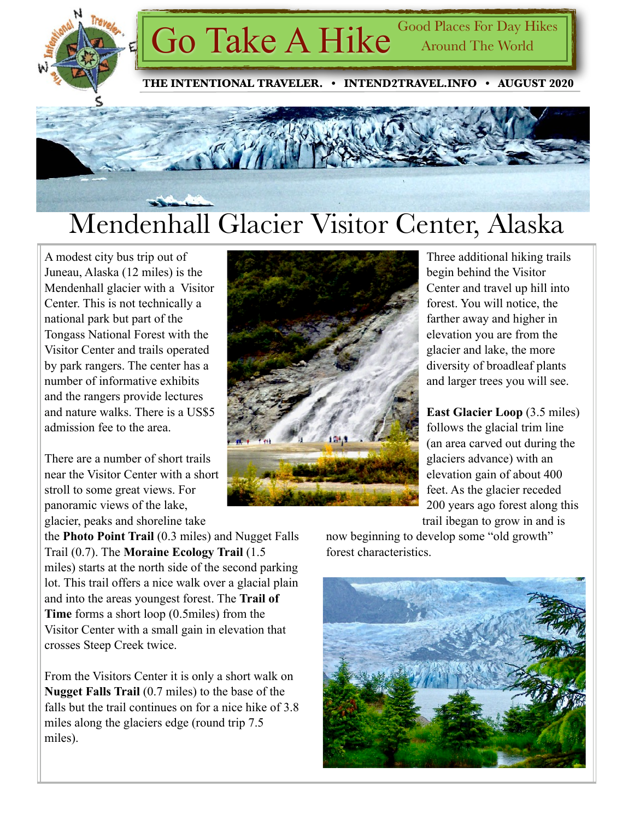

A modest city bus trip out of Juneau, Alaska (12 miles) is the Mendenhall glacier with a Visitor Center. This is not technically a national park but part of the Tongass National Forest with the Visitor Center and trails operated by park rangers. The center has a number of informative exhibits and the rangers provide lectures and nature walks. There is a US\$5 admission fee to the area.

There are a number of short trails near the Visitor Center with a short stroll to some great views. For panoramic views of the lake, glacier, peaks and shoreline take

the **Photo Point Trail** (0.3 miles) and Nugget Falls Trail (0.7). The **Moraine Ecology Trail** (1.5 miles) starts at the north side of the second parking lot. This trail offers a nice walk over a glacial plain and into the areas youngest forest. The **Trail of Time** forms a short loop (0.5miles) from the Visitor Center with a small gain in elevation that crosses Steep Creek twice.

From the Visitors Center it is only a short walk on **Nugget Falls Trail** (0.7 miles) to the base of the falls but the trail continues on for a nice hike of 3.8 miles along the glaciers edge (round trip 7.5 miles).



Three additional hiking trails begin behind the Visitor Center and travel up hill into forest. You will notice, the farther away and higher in elevation you are from the glacier and lake, the more diversity of broadleaf plants and larger trees you will see.

**East Glacier Loop** (3.5 miles) follows the glacial trim line (an area carved out during the glaciers advance) with an elevation gain of about 400 feet. As the glacier receded 200 years ago forest along this trail ibegan to grow in and is

now beginning to develop some "old growth" forest characteristics.